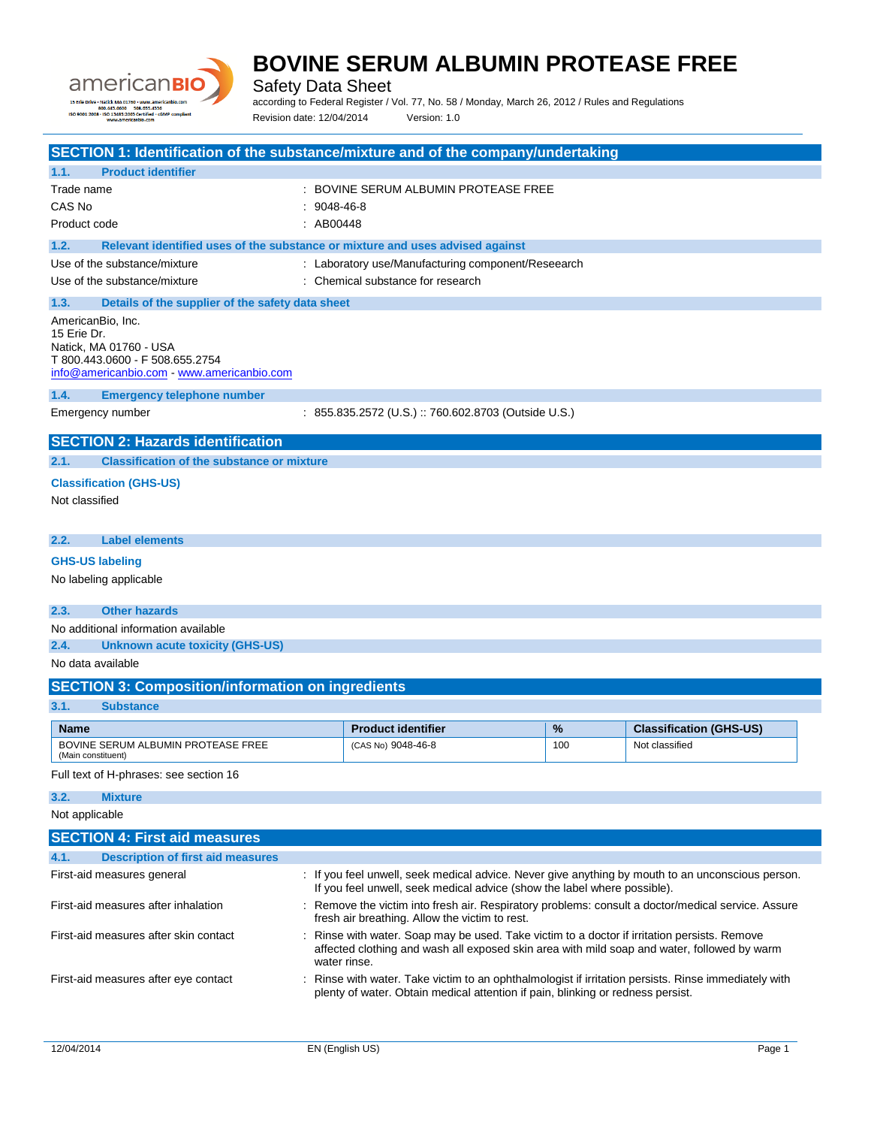

Safety Data Sheet

according to Federal Register / Vol. 77, No. 58 / Monday, March 26, 2012 / Rules and Regulations Revision date: 12/04/2014 Version: 1.0

|                                                            | SECTION 1: Identification of the substance/mixture and of the company/undertaking                                                                                                                                                                  |           |                                                                                                                                                                                         |     |                                |  |
|------------------------------------------------------------|----------------------------------------------------------------------------------------------------------------------------------------------------------------------------------------------------------------------------------------------------|-----------|-----------------------------------------------------------------------------------------------------------------------------------------------------------------------------------------|-----|--------------------------------|--|
| 1.1.                                                       | <b>Product identifier</b>                                                                                                                                                                                                                          |           |                                                                                                                                                                                         |     |                                |  |
| Trade name                                                 |                                                                                                                                                                                                                                                    |           | BOVINE SERUM ALBUMIN PROTEASE FREE                                                                                                                                                      |     |                                |  |
| CAS No                                                     |                                                                                                                                                                                                                                                    | 9048-46-8 |                                                                                                                                                                                         |     |                                |  |
| Product code                                               |                                                                                                                                                                                                                                                    | : AB00448 |                                                                                                                                                                                         |     |                                |  |
| 1.2.                                                       | Relevant identified uses of the substance or mixture and uses advised against                                                                                                                                                                      |           |                                                                                                                                                                                         |     |                                |  |
| Use of the substance/mixture                               |                                                                                                                                                                                                                                                    |           | : Laboratory use/Manufacturing component/Reseearch                                                                                                                                      |     |                                |  |
| Use of the substance/mixture                               |                                                                                                                                                                                                                                                    |           | : Chemical substance for research                                                                                                                                                       |     |                                |  |
| 1.3.                                                       | Details of the supplier of the safety data sheet                                                                                                                                                                                                   |           |                                                                                                                                                                                         |     |                                |  |
| AmericanBio, Inc.<br>15 Erie Dr.<br>Natick, MA 01760 - USA | T 800.443.0600 - F 508.655.2754<br>info@americanbio.com www.americanbio.com                                                                                                                                                                        |           |                                                                                                                                                                                         |     |                                |  |
| 1.4.                                                       | <b>Emergency telephone number</b>                                                                                                                                                                                                                  |           |                                                                                                                                                                                         |     |                                |  |
| Emergency number                                           |                                                                                                                                                                                                                                                    |           | : 855.835.2572 (U.S.) :: 760.602.8703 (Outside U.S.)                                                                                                                                    |     |                                |  |
|                                                            | <b>SECTION 2: Hazards identification</b>                                                                                                                                                                                                           |           |                                                                                                                                                                                         |     |                                |  |
| 2.1.                                                       | <b>Classification of the substance or mixture</b>                                                                                                                                                                                                  |           |                                                                                                                                                                                         |     |                                |  |
| <b>Classification (GHS-US)</b>                             |                                                                                                                                                                                                                                                    |           |                                                                                                                                                                                         |     |                                |  |
| Not classified                                             |                                                                                                                                                                                                                                                    |           |                                                                                                                                                                                         |     |                                |  |
|                                                            |                                                                                                                                                                                                                                                    |           |                                                                                                                                                                                         |     |                                |  |
| 2.2.                                                       | <b>Label elements</b>                                                                                                                                                                                                                              |           |                                                                                                                                                                                         |     |                                |  |
| <b>GHS-US labeling</b>                                     |                                                                                                                                                                                                                                                    |           |                                                                                                                                                                                         |     |                                |  |
| No labeling applicable                                     |                                                                                                                                                                                                                                                    |           |                                                                                                                                                                                         |     |                                |  |
| 2.3.                                                       | <b>Other hazards</b>                                                                                                                                                                                                                               |           |                                                                                                                                                                                         |     |                                |  |
|                                                            | No additional information available                                                                                                                                                                                                                |           |                                                                                                                                                                                         |     |                                |  |
| 2.4.                                                       | Unknown acute toxicity (GHS-US)                                                                                                                                                                                                                    |           |                                                                                                                                                                                         |     |                                |  |
| No data available                                          |                                                                                                                                                                                                                                                    |           |                                                                                                                                                                                         |     |                                |  |
|                                                            | <b>SECTION 3: Composition/information on ingredients</b>                                                                                                                                                                                           |           |                                                                                                                                                                                         |     |                                |  |
| 3.1.                                                       | <b>Substance</b>                                                                                                                                                                                                                                   |           |                                                                                                                                                                                         |     |                                |  |
| <b>Name</b>                                                |                                                                                                                                                                                                                                                    |           | <b>Product identifier</b>                                                                                                                                                               | %   | <b>Classification (GHS-US)</b> |  |
|                                                            | BOVINE SERUM ALBUMIN PROTEASE FREE                                                                                                                                                                                                                 |           | (CAS No) 9048-46-8                                                                                                                                                                      | 100 | Not classified                 |  |
| (Main constituent)                                         |                                                                                                                                                                                                                                                    |           |                                                                                                                                                                                         |     |                                |  |
|                                                            | Full text of H-phrases: see section 16                                                                                                                                                                                                             |           |                                                                                                                                                                                         |     |                                |  |
| 3.2.<br><b>Mixture</b>                                     |                                                                                                                                                                                                                                                    |           |                                                                                                                                                                                         |     |                                |  |
| Not applicable                                             |                                                                                                                                                                                                                                                    |           |                                                                                                                                                                                         |     |                                |  |
|                                                            | <b>SECTION 4: First aid measures</b>                                                                                                                                                                                                               |           |                                                                                                                                                                                         |     |                                |  |
| 4.1.                                                       | <b>Description of first aid measures</b>                                                                                                                                                                                                           |           |                                                                                                                                                                                         |     |                                |  |
| First-aid measures general                                 |                                                                                                                                                                                                                                                    |           | : If you feel unwell, seek medical advice. Never give anything by mouth to an unconscious person.<br>If you feel unwell, seek medical advice (show the label where possible).           |     |                                |  |
|                                                            | First-aid measures after inhalation<br>: Remove the victim into fresh air. Respiratory problems: consult a doctor/medical service. Assure<br>fresh air breathing. Allow the victim to rest.                                                        |           |                                                                                                                                                                                         |     |                                |  |
|                                                            | Rinse with water. Soap may be used. Take victim to a doctor if irritation persists. Remove<br>First-aid measures after skin contact<br>affected clothing and wash all exposed skin area with mild soap and water, followed by warm<br>water rinse. |           |                                                                                                                                                                                         |     |                                |  |
|                                                            | First-aid measures after eye contact                                                                                                                                                                                                               |           | : Rinse with water. Take victim to an ophthalmologist if irritation persists. Rinse immediately with<br>plenty of water. Obtain medical attention if pain, blinking or redness persist. |     |                                |  |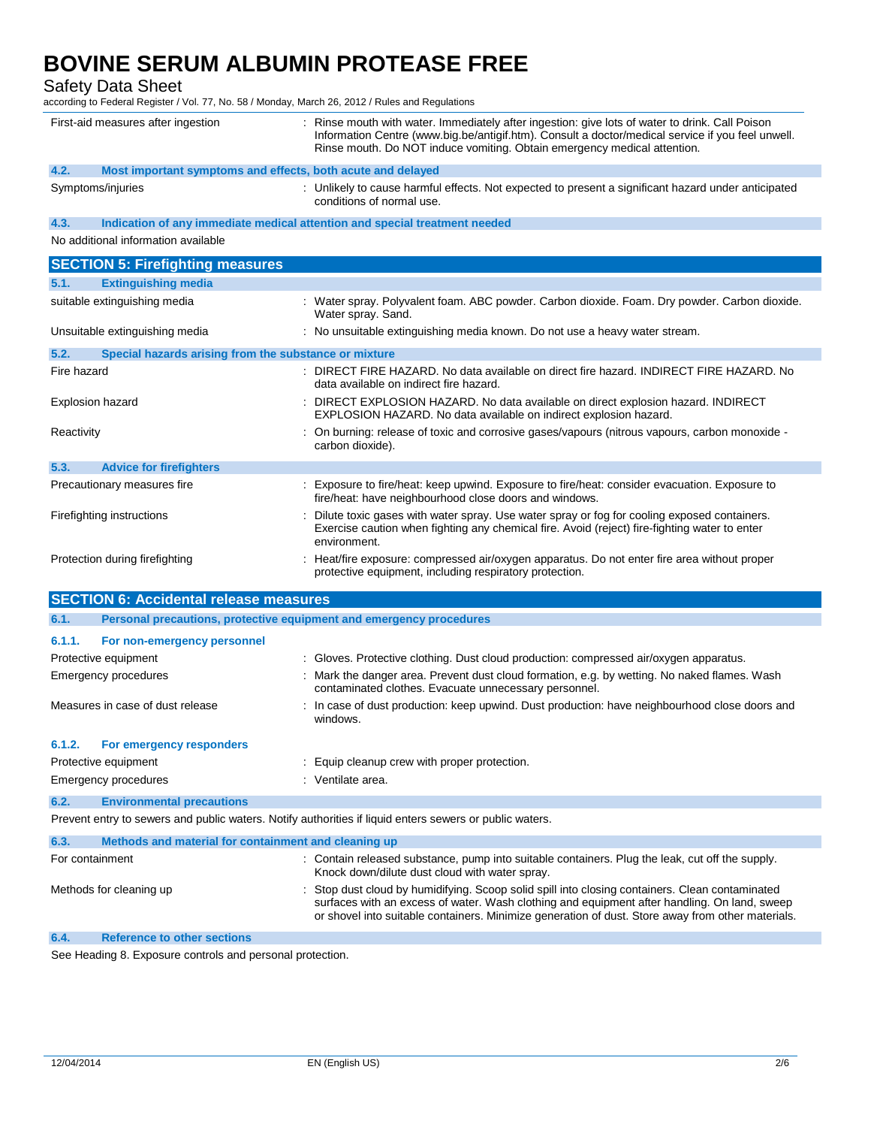Safety Data Sheet

according to Federal Register / Vol. 77, No. 58 / Monday, March 26, 2012 / Rules and Regulations

|                                                                                                         | First-aid measures after ingestion                                         | : Rinse mouth with water. Immediately after ingestion: give lots of water to drink. Call Poison<br>Information Centre (www.big.be/antigif.htm). Consult a doctor/medical service if you feel unwell.<br>Rinse mouth. Do NOT induce vomiting. Obtain emergency medical attention.                   |  |  |
|---------------------------------------------------------------------------------------------------------|----------------------------------------------------------------------------|----------------------------------------------------------------------------------------------------------------------------------------------------------------------------------------------------------------------------------------------------------------------------------------------------|--|--|
| 4.2.                                                                                                    | Most important symptoms and effects, both acute and delayed                |                                                                                                                                                                                                                                                                                                    |  |  |
| Symptoms/injuries                                                                                       |                                                                            | : Unlikely to cause harmful effects. Not expected to present a significant hazard under anticipated<br>conditions of normal use.                                                                                                                                                                   |  |  |
| 4.3.                                                                                                    | Indication of any immediate medical attention and special treatment needed |                                                                                                                                                                                                                                                                                                    |  |  |
|                                                                                                         | No additional information available                                        |                                                                                                                                                                                                                                                                                                    |  |  |
|                                                                                                         | <b>SECTION 5: Firefighting measures</b>                                    |                                                                                                                                                                                                                                                                                                    |  |  |
| 5.1.                                                                                                    | <b>Extinguishing media</b>                                                 |                                                                                                                                                                                                                                                                                                    |  |  |
|                                                                                                         | suitable extinguishing media                                               | : Water spray. Polyvalent foam. ABC powder. Carbon dioxide. Foam. Dry powder. Carbon dioxide.<br>Water spray. Sand.                                                                                                                                                                                |  |  |
|                                                                                                         | Unsuitable extinguishing media                                             | : No unsuitable extinguishing media known. Do not use a heavy water stream.                                                                                                                                                                                                                        |  |  |
| 5.2.                                                                                                    | Special hazards arising from the substance or mixture                      |                                                                                                                                                                                                                                                                                                    |  |  |
| Fire hazard                                                                                             |                                                                            | : DIRECT FIRE HAZARD. No data available on direct fire hazard. INDIRECT FIRE HAZARD. No<br>data available on indirect fire hazard.                                                                                                                                                                 |  |  |
| Explosion hazard                                                                                        |                                                                            | : DIRECT EXPLOSION HAZARD. No data available on direct explosion hazard. INDIRECT<br>EXPLOSION HAZARD. No data available on indirect explosion hazard.                                                                                                                                             |  |  |
| Reactivity                                                                                              |                                                                            | : On burning: release of toxic and corrosive gases/vapours (nitrous vapours, carbon monoxide -<br>carbon dioxide).                                                                                                                                                                                 |  |  |
| 5.3.                                                                                                    | <b>Advice for firefighters</b>                                             |                                                                                                                                                                                                                                                                                                    |  |  |
|                                                                                                         | Precautionary measures fire                                                | Exposure to fire/heat: keep upwind. Exposure to fire/heat: consider evacuation. Exposure to<br>fire/heat: have neighbourhood close doors and windows.                                                                                                                                              |  |  |
|                                                                                                         | Firefighting instructions                                                  | Dilute toxic gases with water spray. Use water spray or fog for cooling exposed containers.<br>Exercise caution when fighting any chemical fire. Avoid (reject) fire-fighting water to enter<br>environment.                                                                                       |  |  |
| Protection during firefighting                                                                          |                                                                            | : Heat/fire exposure: compressed air/oxygen apparatus. Do not enter fire area without proper<br>protective equipment, including respiratory protection.                                                                                                                                            |  |  |
|                                                                                                         | <b>SECTION 6: Accidental release measures</b>                              |                                                                                                                                                                                                                                                                                                    |  |  |
| 6.1.                                                                                                    | Personal precautions, protective equipment and emergency procedures        |                                                                                                                                                                                                                                                                                                    |  |  |
| 6.1.1.                                                                                                  | For non-emergency personnel                                                |                                                                                                                                                                                                                                                                                                    |  |  |
|                                                                                                         | Protective equipment                                                       | : Gloves. Protective clothing. Dust cloud production: compressed air/oxygen apparatus.                                                                                                                                                                                                             |  |  |
|                                                                                                         | <b>Emergency procedures</b>                                                | : Mark the danger area. Prevent dust cloud formation, e.g. by wetting. No naked flames. Wash<br>contaminated clothes. Evacuate unnecessary personnel.                                                                                                                                              |  |  |
|                                                                                                         | Measures in case of dust release                                           | : In case of dust production: keep upwind. Dust production: have neighbourhood close doors and<br>windows.                                                                                                                                                                                         |  |  |
| 6.1.2.                                                                                                  | <b>For emergency responders</b>                                            |                                                                                                                                                                                                                                                                                                    |  |  |
|                                                                                                         | Protective equipment                                                       | Equip cleanup crew with proper protection.                                                                                                                                                                                                                                                         |  |  |
|                                                                                                         | <b>Emergency procedures</b>                                                | : Ventilate area.                                                                                                                                                                                                                                                                                  |  |  |
| 6.2.                                                                                                    | <b>Environmental precautions</b>                                           |                                                                                                                                                                                                                                                                                                    |  |  |
| Prevent entry to sewers and public waters. Notify authorities if liquid enters sewers or public waters. |                                                                            |                                                                                                                                                                                                                                                                                                    |  |  |
| 6.3.                                                                                                    | Methods and material for containment and cleaning up                       |                                                                                                                                                                                                                                                                                                    |  |  |
| For containment                                                                                         |                                                                            | : Contain released substance, pump into suitable containers. Plug the leak, cut off the supply.<br>Knock down/dilute dust cloud with water spray.                                                                                                                                                  |  |  |
| Methods for cleaning up                                                                                 |                                                                            | Stop dust cloud by humidifying. Scoop solid spill into closing containers. Clean contaminated<br>surfaces with an excess of water. Wash clothing and equipment after handling. On land, sweep<br>or shovel into suitable containers. Minimize generation of dust. Store away from other materials. |  |  |
| 6.4.                                                                                                    | <b>Reference to other sections</b>                                         |                                                                                                                                                                                                                                                                                                    |  |  |

See Heading 8. Exposure controls and personal protection.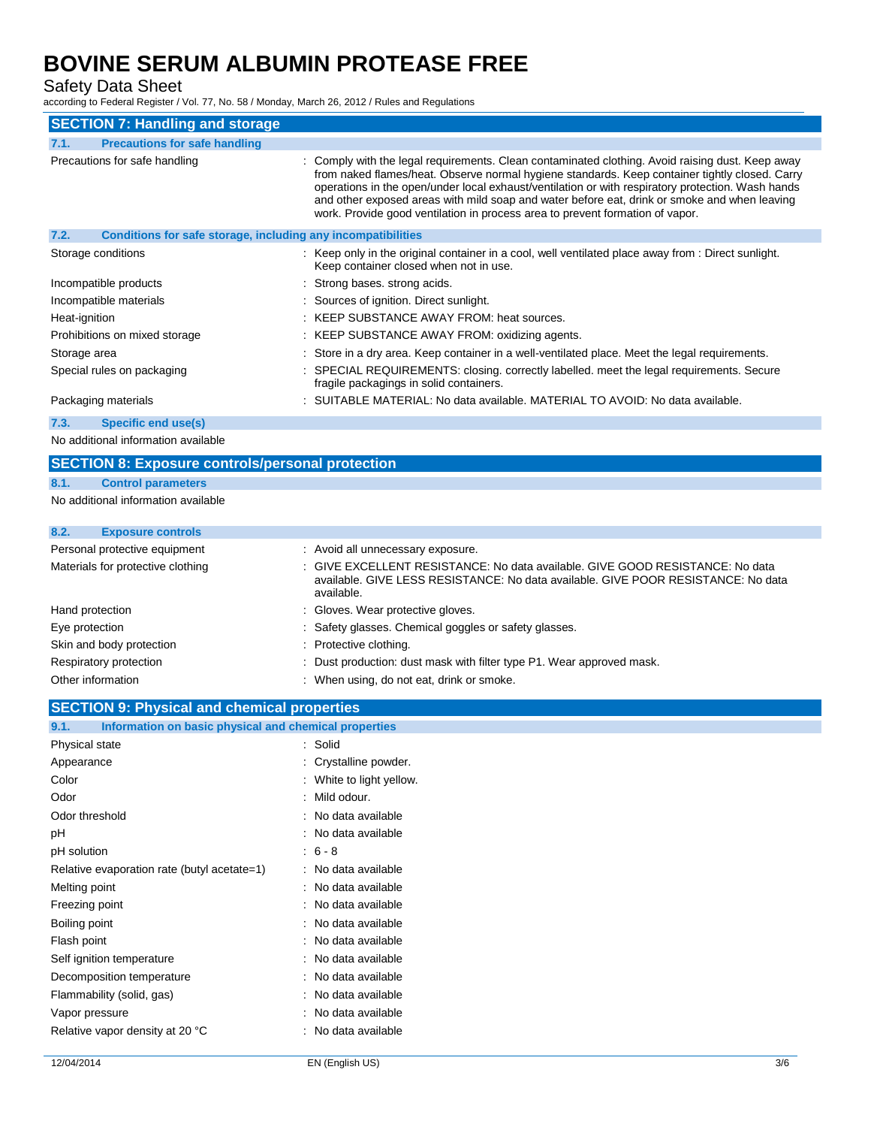Safety Data Sheet

according to Federal Register / Vol. 77, No. 58 / Monday, March 26, 2012 / Rules and Regulations

| <b>SECTION 7: Handling and storage</b>                               |                                                                                                                                                                                                                                                                                                                                                                                                                                                                                          |  |  |  |
|----------------------------------------------------------------------|------------------------------------------------------------------------------------------------------------------------------------------------------------------------------------------------------------------------------------------------------------------------------------------------------------------------------------------------------------------------------------------------------------------------------------------------------------------------------------------|--|--|--|
| <b>Precautions for safe handling</b><br>7.1.                         |                                                                                                                                                                                                                                                                                                                                                                                                                                                                                          |  |  |  |
| Precautions for safe handling                                        | : Comply with the legal requirements. Clean contaminated clothing. Avoid raising dust. Keep away<br>from naked flames/heat. Observe normal hygiene standards. Keep container tightly closed. Carry<br>operations in the open/under local exhaust/ventilation or with respiratory protection. Wash hands<br>and other exposed areas with mild soap and water before eat, drink or smoke and when leaving<br>work. Provide good ventilation in process area to prevent formation of vapor. |  |  |  |
| 7.2.<br>Conditions for safe storage, including any incompatibilities |                                                                                                                                                                                                                                                                                                                                                                                                                                                                                          |  |  |  |
| Storage conditions                                                   | : Keep only in the original container in a cool, well ventilated place away from : Direct sunlight.<br>Keep container closed when not in use.                                                                                                                                                                                                                                                                                                                                            |  |  |  |
| Incompatible products                                                | : Strong bases, strong acids.                                                                                                                                                                                                                                                                                                                                                                                                                                                            |  |  |  |
| Incompatible materials                                               | : Sources of ignition. Direct sunlight.                                                                                                                                                                                                                                                                                                                                                                                                                                                  |  |  |  |
| Heat-ignition                                                        | : KEEP SUBSTANCE AWAY FROM: heat sources.                                                                                                                                                                                                                                                                                                                                                                                                                                                |  |  |  |
| Prohibitions on mixed storage                                        | : KEEP SUBSTANCE AWAY FROM: oxidizing agents.                                                                                                                                                                                                                                                                                                                                                                                                                                            |  |  |  |
| Storage area                                                         | : Store in a dry area. Keep container in a well-ventilated place. Meet the legal requirements.                                                                                                                                                                                                                                                                                                                                                                                           |  |  |  |
| Special rules on packaging                                           | : SPECIAL REQUIREMENTS: closing. correctly labelled. meet the legal requirements. Secure<br>fragile packagings in solid containers.                                                                                                                                                                                                                                                                                                                                                      |  |  |  |
| Packaging materials                                                  | : SUITABLE MATERIAL: No data available. MATERIAL TO AVOID: No data available.                                                                                                                                                                                                                                                                                                                                                                                                            |  |  |  |
| Specific end use(s)<br>7.3.                                          |                                                                                                                                                                                                                                                                                                                                                                                                                                                                                          |  |  |  |

No additional information available

#### **SECTION 8: Exposure controls/personal protection**

#### **8.1. Control parameters**

No additional information available

### **8.2. Exposure controls**

| Personal protective equipment     | : Avoid all unnecessary exposure.                                                                                                                                                |
|-----------------------------------|----------------------------------------------------------------------------------------------------------------------------------------------------------------------------------|
| Materials for protective clothing | : GIVE EXCELLENT RESISTANCE: No data available. GIVE GOOD RESISTANCE: No data<br>available. GIVE LESS RESISTANCE: No data available. GIVE POOR RESISTANCE: No data<br>available. |
| Hand protection                   | : Gloves. Wear protective gloves.                                                                                                                                                |
| Eye protection                    | : Safety glasses. Chemical goggles or safety glasses.                                                                                                                            |
| Skin and body protection          | : Protective clothing.                                                                                                                                                           |
| Respiratory protection            | : Dust production: dust mask with filter type P1. Wear approved mask.                                                                                                            |
| Other information                 | : When using, do not eat, drink or smoke.                                                                                                                                        |

### **SECTION 9: Physical and chemical properties**

| Information on basic physical and chemical properties<br>9.1. |                        |
|---------------------------------------------------------------|------------------------|
| Physical state                                                | Solid                  |
| Appearance                                                    | Crystalline powder.    |
| Color                                                         | White to light yellow. |
| Odor                                                          | Mild odour.            |
| Odor threshold                                                | No data available      |
| рH                                                            | No data available      |
| pH solution                                                   | $6 - 8$                |
| Relative evaporation rate (butyl acetate=1)                   | No data available      |
| Melting point                                                 | No data available      |
| Freezing point                                                | No data available      |
| Boiling point                                                 | No data available      |
| Flash point                                                   | No data available      |
| Self ignition temperature                                     | No data available      |
| Decomposition temperature                                     | No data available      |
| Flammability (solid, gas)                                     | No data available      |
| Vapor pressure                                                | No data available      |
| Relative vapor density at 20 °C                               | No data available      |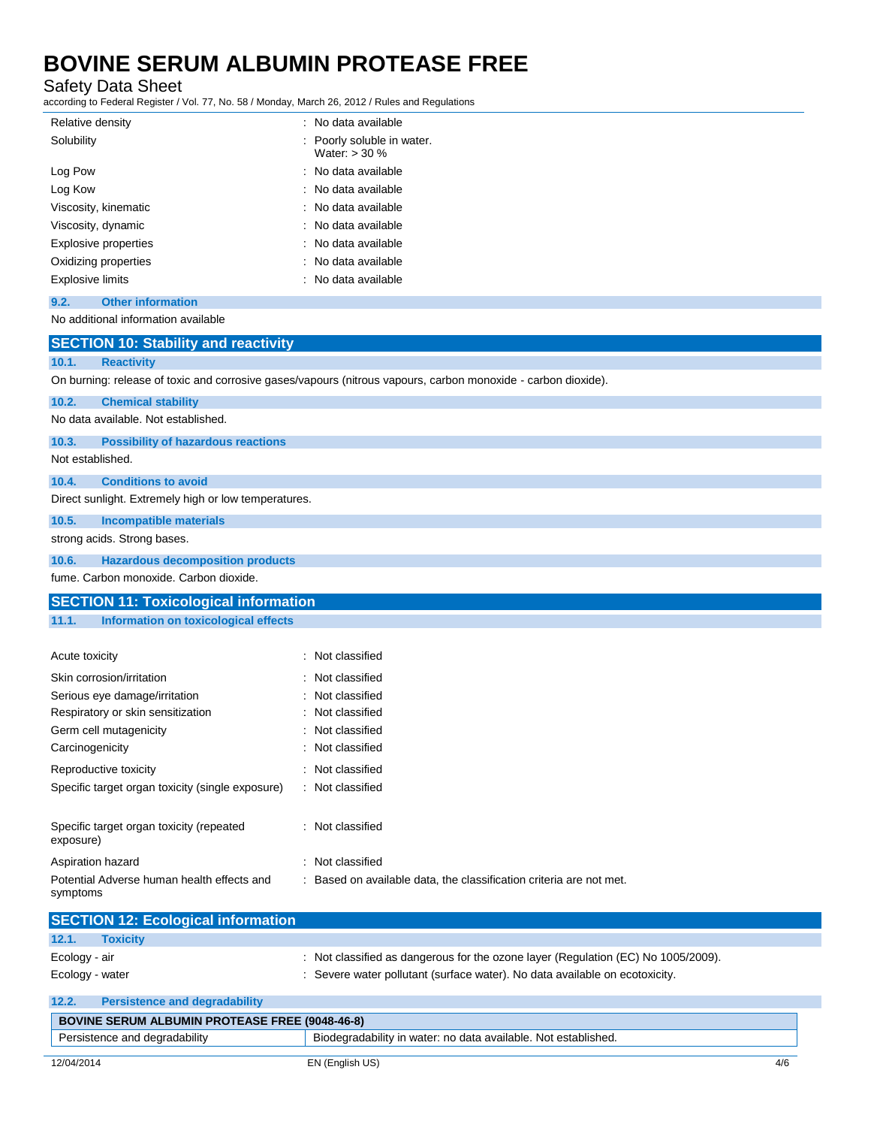Safety Data Sheet

according to Federal Register / Vol. 77, No. 58 / Monday, March 26, 2012 / Rules and Regulations

| Relative density                    | : No data available                           |
|-------------------------------------|-----------------------------------------------|
| Solubility                          | : Poorly soluble in water.<br>Water: $>$ 30 % |
| Log Pow                             | : No data available                           |
| Log Kow                             | : No data available                           |
| Viscosity, kinematic                | : No data available                           |
| Viscosity, dynamic                  | : No data available                           |
| Explosive properties                | : No data available                           |
| Oxidizing properties                | : No data available                           |
| <b>Explosive limits</b>             | : No data available                           |
| <b>Other information</b><br>9.2.    |                                               |
| No additional information available |                                               |

| <b>SECTION 10: Stability and reactivity</b>                                                                   |                                                                                   |  |  |  |
|---------------------------------------------------------------------------------------------------------------|-----------------------------------------------------------------------------------|--|--|--|
| <b>Reactivity</b><br>10.1.                                                                                    |                                                                                   |  |  |  |
| On burning: release of toxic and corrosive gases/vapours (nitrous vapours, carbon monoxide - carbon dioxide). |                                                                                   |  |  |  |
| <b>Chemical stability</b><br>10.2.                                                                            |                                                                                   |  |  |  |
| No data available. Not established.                                                                           |                                                                                   |  |  |  |
| 10.3.<br><b>Possibility of hazardous reactions</b>                                                            |                                                                                   |  |  |  |
| Not established.                                                                                              |                                                                                   |  |  |  |
| <b>Conditions to avoid</b><br>10.4.                                                                           |                                                                                   |  |  |  |
| Direct sunlight. Extremely high or low temperatures.                                                          |                                                                                   |  |  |  |
| 10.5.<br><b>Incompatible materials</b>                                                                        |                                                                                   |  |  |  |
| strong acids. Strong bases.                                                                                   |                                                                                   |  |  |  |
| 10.6.<br><b>Hazardous decomposition products</b>                                                              |                                                                                   |  |  |  |
| fume. Carbon monoxide. Carbon dioxide.                                                                        |                                                                                   |  |  |  |
| <b>SECTION 11: Toxicological information</b>                                                                  |                                                                                   |  |  |  |
| Information on toxicological effects<br>11.1.                                                                 |                                                                                   |  |  |  |
|                                                                                                               |                                                                                   |  |  |  |
| Acute toxicity                                                                                                | : Not classified                                                                  |  |  |  |
| Skin corrosion/irritation                                                                                     | Not classified                                                                    |  |  |  |
| Serious eye damage/irritation                                                                                 | Not classified                                                                    |  |  |  |
| Respiratory or skin sensitization                                                                             | Not classified                                                                    |  |  |  |
| Germ cell mutagenicity                                                                                        | Not classified                                                                    |  |  |  |
| Carcinogenicity                                                                                               | Not classified                                                                    |  |  |  |
| Reproductive toxicity                                                                                         | : Not classified                                                                  |  |  |  |
| Specific target organ toxicity (single exposure)                                                              | : Not classified                                                                  |  |  |  |
|                                                                                                               |                                                                                   |  |  |  |
| Specific target organ toxicity (repeated<br>exposure)                                                         | : Not classified                                                                  |  |  |  |
| Aspiration hazard                                                                                             | : Not classified                                                                  |  |  |  |
| Potential Adverse human health effects and<br>symptoms                                                        | : Based on available data, the classification criteria are not met.               |  |  |  |
| <b>SECTION 12: Ecological information</b>                                                                     |                                                                                   |  |  |  |
| 12.1.<br><b>Toxicity</b>                                                                                      |                                                                                   |  |  |  |
| Ecology - air                                                                                                 | : Not classified as dangerous for the ozone layer (Regulation (EC) No 1005/2009). |  |  |  |

| Ecology - water | : Severe water pollutant (surface water). No data available on ecotoxicity. |  |
|-----------------|-----------------------------------------------------------------------------|--|

| 12.2.                                                 | <b>Persistence and degradability</b> |                                                                |     |
|-------------------------------------------------------|--------------------------------------|----------------------------------------------------------------|-----|
| <b>BOVINE SERUM ALBUMIN PROTEASE FREE (9048-46-8)</b> |                                      |                                                                |     |
|                                                       | Persistence and degradability        | Biodegradability in water: no data available. Not established. |     |
|                                                       |                                      |                                                                |     |
| 12/04/2014                                            |                                      | EN (English US)                                                | 4/6 |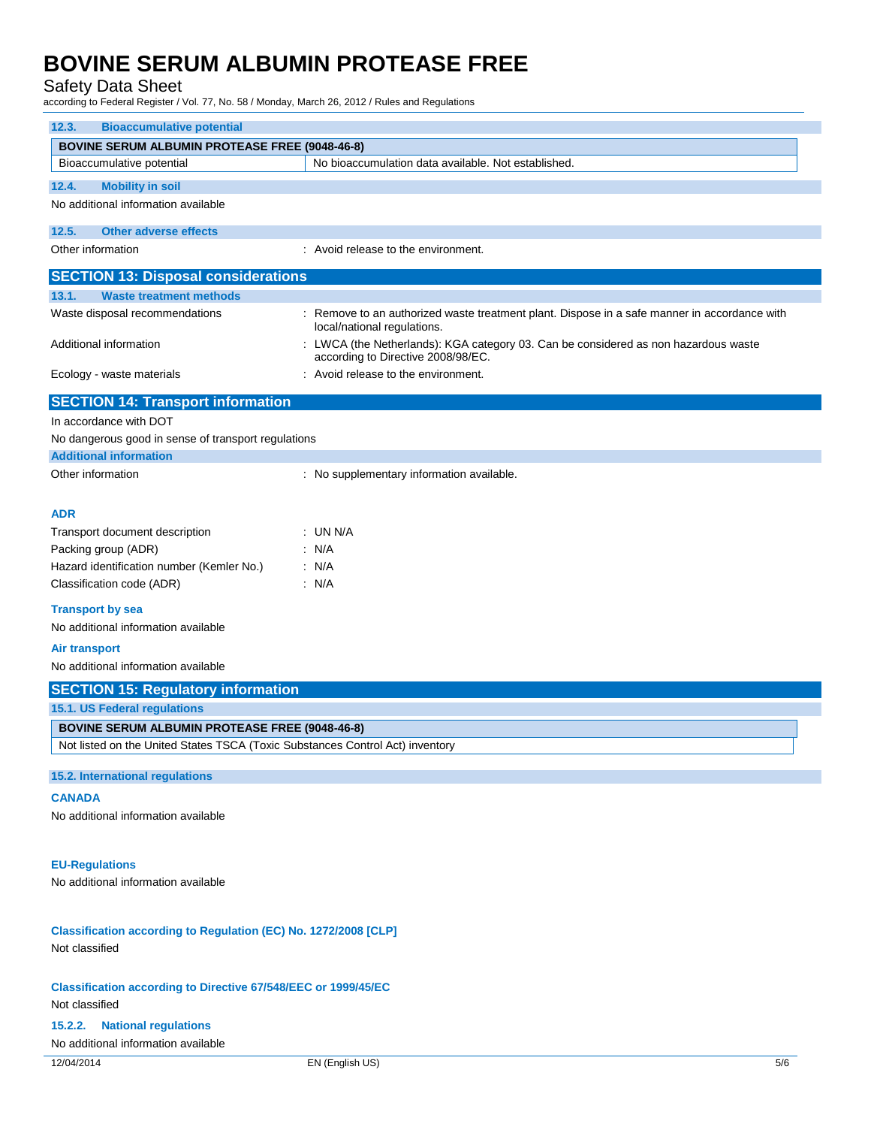### Safety Data Sheet

according to Federal Register / Vol. 77, No. 58 / Monday, March 26, 2012 / Rules and Regulations

| <b>Bioaccumulative potential</b><br>12.3.                                               |                                                                                                                           |  |  |  |
|-----------------------------------------------------------------------------------------|---------------------------------------------------------------------------------------------------------------------------|--|--|--|
| <b>BOVINE SERUM ALBUMIN PROTEASE FREE (9048-46-8)</b>                                   |                                                                                                                           |  |  |  |
| Bioaccumulative potential                                                               | No bioaccumulation data available. Not established.                                                                       |  |  |  |
| <b>Mobility in soil</b><br>12.4.                                                        |                                                                                                                           |  |  |  |
| No additional information available                                                     |                                                                                                                           |  |  |  |
| <b>Other adverse effects</b><br>12.5.                                                   |                                                                                                                           |  |  |  |
| Other information                                                                       | : Avoid release to the environment.                                                                                       |  |  |  |
| <b>SECTION 13: Disposal considerations</b>                                              |                                                                                                                           |  |  |  |
| 13.1.<br><b>Waste treatment methods</b>                                                 |                                                                                                                           |  |  |  |
| Waste disposal recommendations                                                          | Remove to an authorized waste treatment plant. Dispose in a safe manner in accordance with<br>local/national regulations. |  |  |  |
| Additional information                                                                  | : LWCA (the Netherlands): KGA category 03. Can be considered as non hazardous waste<br>according to Directive 2008/98/EC. |  |  |  |
| Ecology - waste materials                                                               | : Avoid release to the environment.                                                                                       |  |  |  |
| <b>SECTION 14: Transport information</b>                                                |                                                                                                                           |  |  |  |
| In accordance with DOT                                                                  |                                                                                                                           |  |  |  |
| No dangerous good in sense of transport regulations                                     |                                                                                                                           |  |  |  |
| <b>Additional information</b>                                                           |                                                                                                                           |  |  |  |
| Other information                                                                       | : No supplementary information available.                                                                                 |  |  |  |
|                                                                                         |                                                                                                                           |  |  |  |
| ADR<br>Transport document description                                                   | : UN N/A                                                                                                                  |  |  |  |
| Packing group (ADR)                                                                     | : N/A                                                                                                                     |  |  |  |
| Hazard identification number (Kemler No.)                                               | : N/A                                                                                                                     |  |  |  |
|                                                                                         |                                                                                                                           |  |  |  |
| Classification code (ADR)                                                               | : N/A                                                                                                                     |  |  |  |
| <b>Transport by sea</b><br>No additional information available                          |                                                                                                                           |  |  |  |
| <b>Air transport</b>                                                                    |                                                                                                                           |  |  |  |
| No additional information available                                                     |                                                                                                                           |  |  |  |
| <b>SECTION 15: Regulatory information</b>                                               |                                                                                                                           |  |  |  |
| 15.1. US Federal regulations                                                            |                                                                                                                           |  |  |  |
| <b>BOVINE SERUM ALBUMIN PROTEASE FREE (9048-46-8)</b>                                   |                                                                                                                           |  |  |  |
| Not listed on the United States TSCA (Toxic Substances Control Act) inventory           |                                                                                                                           |  |  |  |
|                                                                                         |                                                                                                                           |  |  |  |
| 15.2. International regulations                                                         |                                                                                                                           |  |  |  |
| <b>CANADA</b>                                                                           |                                                                                                                           |  |  |  |
| No additional information available                                                     |                                                                                                                           |  |  |  |
| <b>EU-Regulations</b>                                                                   |                                                                                                                           |  |  |  |
| No additional information available                                                     |                                                                                                                           |  |  |  |
|                                                                                         |                                                                                                                           |  |  |  |
| Classification according to Regulation (EC) No. 1272/2008 [CLP]<br>Not classified       |                                                                                                                           |  |  |  |
| <b>Classification according to Directive 67/548/EEC or 1999/45/EC</b><br>Not classified |                                                                                                                           |  |  |  |
| <b>National regulations</b><br>15.2.2.                                                  |                                                                                                                           |  |  |  |
| No additional information available                                                     |                                                                                                                           |  |  |  |
| 12/04/2014                                                                              | EN (English US)<br>5/6                                                                                                    |  |  |  |
|                                                                                         |                                                                                                                           |  |  |  |